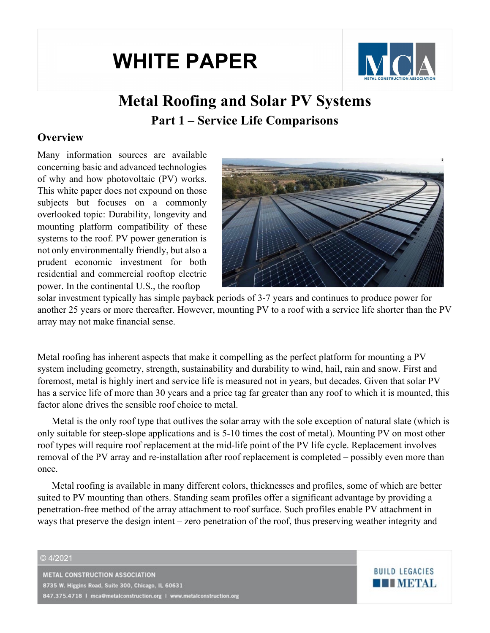# **WHITE PAPER**



**BUILD LEGACIES** 

**THE METAL** 

# **Metal Roofing and Solar PV Systems Part 1 – Service Life Comparisons**

### **Overview**

Many information sources are available concerning basic and advanced technologies of why and how photovoltaic (PV) works. This white paper does not expound on those subjects but focuses on a commonly overlooked topic: Durability, longevity and mounting platform compatibility of these systems to the roof. PV power generation is not only environmentally friendly, but also a prudent economic investment for both residential and commercial rooftop electric power. In the continental U.S., the rooftop



solar investment typically has simple payback periods of 3-7 years and continues to produce power for another 25 years or more thereafter. However, mounting PV to a roof with a service life shorter than the PV array may not make financial sense.

Metal roofing has inherent aspects that make it compelling as the perfect platform for mounting a PV system including geometry, strength, sustainability and durability to wind, hail, rain and snow. First and foremost, metal is highly inert and service life is measured not in years, but decades. Given that solar PV has a service life of more than 30 years and a price tag far greater than any roof to which it is mounted, this factor alone drives the sensible roof choice to metal.

Metal is the only roof type that outlives the solar array with the sole exception of natural slate (which is only suitable for steep-slope applications and is 5-10 times the cost of metal). Mounting PV on most other roof types will require roof replacement at the mid-life point of the PV life cycle. Replacement involves removal of the PV array and re-installation after roof replacement is completed – possibly even more than once.

Metal roofing is available in many different colors, thicknesses and profiles, some of which are better suited to PV mounting than others. Standing seam profiles offer a significant advantage by providing a penetration-free method of the array attachment to roof surface. Such profiles enable PV attachment in ways that preserve the design intent – zero penetration of the roof, thus preserving weather integrity and

#### © 4/2021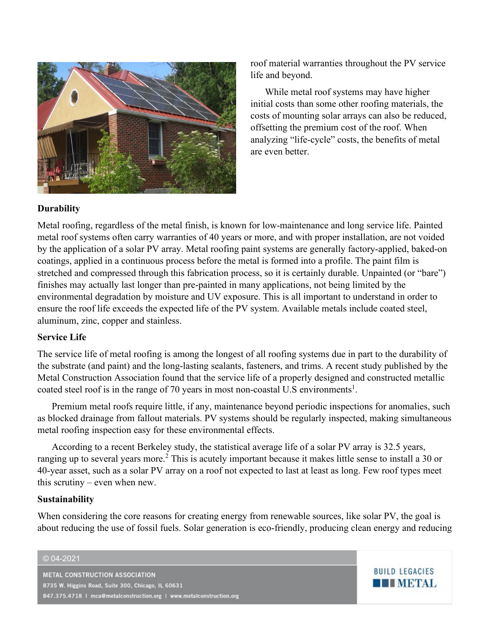

roof material warranties throughout the PV service life and beyond.

While metal roof systems may have higher initial costs than some other roofing materials, the costs of mounting solar arrays can also be reduced, offsetting the premium cost of the roof. When analyzing "life-cycle" costs, the benefits of metal are even better.

**BUILD LEGACIES** 

**THE METAL** 

#### **Durability**

Metal roofing, regardless of the metal finish, is known for low-maintenance and long service life. Painted metal roof systems often carry warranties of 40 years or more, and with proper installation, are not voided by the application of a solar PV array. Metal roofing paint systems are generally factory-applied, baked-on coatings, applied in a continuous process before the metal is formed into a profile. The paint film is stretched and compressed through this fabrication process, so it is certainly durable. Unpainted (or "bare") finishes may actually last longer than pre-painted in many applications, not being limited by the environmental degradation by moisture and UV exposure. This is all important to understand in order to ensure the roof life exceeds the expected life of the PV system. Available metals include coated steel, aluminum, zinc, copper and stainless.

#### **Service Life**

The service life of metal roofing is among the longest of all roofing systems due in part to the durability of the substrate (and paint) and the long-lasting sealants, fasteners, and trims. A recent study published by the Metal Construction Association found that the service life of a properly designed and constructed metallic coated [s](#page-4-0)teel roof is in the range of 70 years in most non-coastal U.S environments<sup>1</sup>.

Premium metal roofs require little, if any, maintenance beyond periodic inspections for anomalies, such as blocked drainage from fallout materials. PV systems should be regularly inspected, making simultaneous metal roofing inspection easy for these environmental effects.

According to a recent Berkeley study, the statistical average life of a solar PV array is 32.5 years, ranging up to several years more.<sup>[2](#page-4-1)</sup> This is acutely important because it makes little sense to install a 30 or 40-year asset, such as a solar PV array on a roof not expected to last at least as long. Few roof types meet this scrutiny – even when new.

#### **Sustainability**

When considering the core reasons for creating energy from renewable sources, like solar PV, the goal is about reducing the use of fossil fuels. Solar generation is eco-friendly, producing clean energy and reducing

#### © 04-2021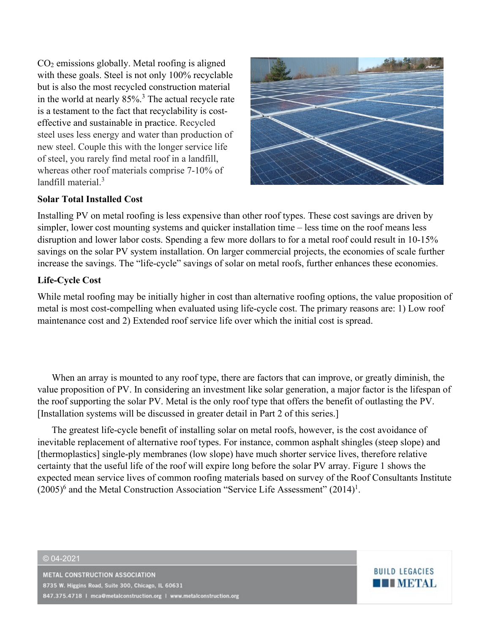CO2 emissions globally. Metal roofing is aligned with these goals. Steel is not only 100% recyclable but is also the most recycled construction material in the world at nearly 85%[.3](#page-4-2) The actual recycle rate is a testament to the fact that recyclability is costeffective and sustainable in practice. Recycled steel uses less energy and water than production of new steel. Couple this with the longer service life of steel, you rarely find metal roof in a landfill, whereas other roof materials comprise 7-10% of landfill material.[3](#page-4-3)



**BUILD LEGACIES** 

**THE METAL** 

#### **Solar Total Installed Cost**

Installing PV on metal roofing is less expensive than other roof types. These cost savings are driven by simpler, lower cost mounting systems and quicker installation time – less time on the roof means less disruption and lower labor costs. Spending a few more dollars to for a metal roof could result in 10-15% savings on the solar PV system installation. On larger commercial projects, the economies of scale further increase the savings. The "life-cycle" savings of solar on metal roofs, further enhances these economies.

#### **Life-Cycle Cost**

While metal roofing may be initially higher in cost than alternative roofing options, the value proposition of metal is most cost-compelling when evaluated using life-cycle cost. The primary reasons are: 1) Low roof maintenance cost and 2) Extended roof service life over which the initial cost is spread.

When an array is mounted to any roof type, there are factors that can improve, or greatly diminish, the value proposition of PV. In considering an investment like solar generation, a major factor is the lifespan of the roof supporting the solar PV. Metal is the only roof type that offers the benefit of outlasting the PV. [Installation systems will be discussed in greater detail in Part 2 of this series.]

<span id="page-2-0"></span>The greatest life-cycle benefit of installing solar on metal roofs, however, is the cost avoidance of inevitable replacement of alternative roof types. For instance, common asphalt shingles (steep slope) and [thermoplastics] single-ply membranes (low slope) have much shorter service lives, therefore relative certainty that the useful life of the roof will expire long before the solar PV array. [Figure 1](#page-2-0) shows the expected mean service lives of common roofing materials based on survey of the Roof Consultants Institute  $(2005)^6$  and the Metal Construction Association "Service Life Assessment"  $(2014)^1$ .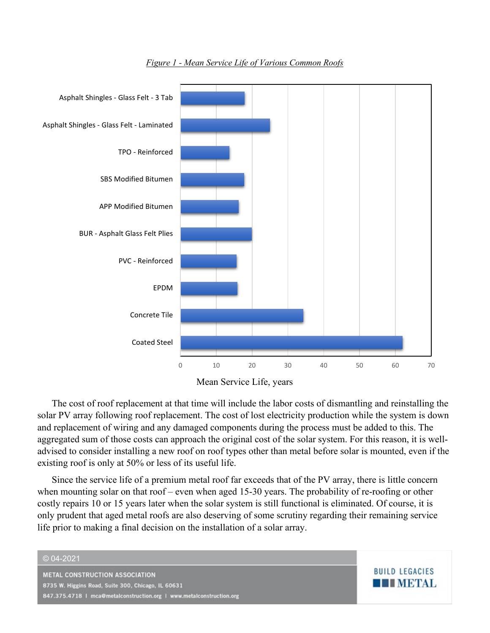

*Figure 1 - Mean Service Life of Various Common Roofs*



The cost of roof replacement at that time will include the labor costs of dismantling and reinstalling the solar PV array following roof replacement. The cost of lost electricity production while the system is down and replacement of wiring and any damaged components during the process must be added to this. The aggregated sum of those costs can approach the original cost of the solar system. For this reason, it is welladvised to consider installing a new roof on roof types other than metal before solar is mounted, even if the existing roof is only at 50% or less of its useful life.

Since the service life of a premium metal roof far exceeds that of the PV array, there is little concern when mounting solar on that roof – even when aged 15-30 years. The probability of re-roofing or other costly repairs 10 or 15 years later when the solar system is still functional is eliminated. Of course, it is only prudent that aged metal roofs are also deserving of some scrutiny regarding their remaining service life prior to making a final decision on the installation of a solar array.

**BUILD LEGACIES** 

**THE METAL** 

#### © 04-2021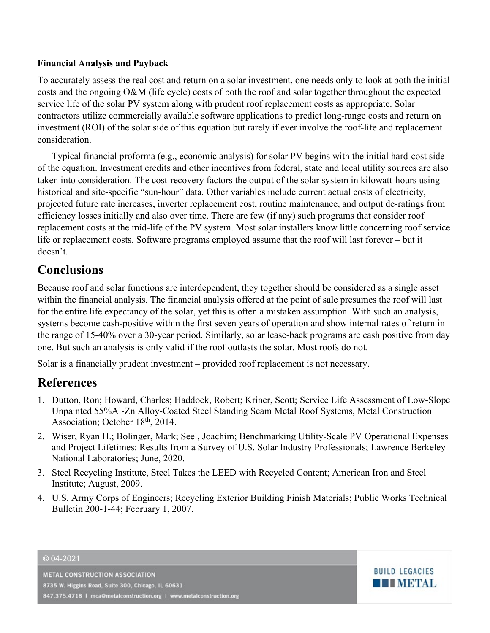#### **Financial Analysis and Payback**

To accurately assess the real cost and return on a solar investment, one needs only to look at both the initial costs and the ongoing O&M (life cycle) costs of both the roof and solar together throughout the expected service life of the solar PV system along with prudent roof replacement costs as appropriate. Solar contractors utilize commercially available software applications to predict long-range costs and return on investment (ROI) of the solar side of this equation but rarely if ever involve the roof-life and replacement consideration.

Typical financial proforma (e.g., economic analysis) for solar PV begins with the initial hard-cost side of the equation. Investment credits and other incentives from federal, state and local utility sources are also taken into consideration. The cost-recovery factors the output of the solar system in kilowatt-hours using historical and site-specific "sun-hour" data. Other variables include current actual costs of electricity, projected future rate increases, inverter replacement cost, routine maintenance, and output de-ratings from efficiency losses initially and also over time. There are few (if any) such programs that consider roof replacement costs at the mid-life of the PV system. Most solar installers know little concerning roof service life or replacement costs. Software programs employed assume that the roof will last forever – but it doesn't.

# **Conclusions**

Because roof and solar functions are interdependent, they together should be considered as a single asset within the financial analysis. The financial analysis offered at the point of sale presumes the roof will last for the entire life expectancy of the solar, yet this is often a mistaken assumption. With such an analysis, systems become cash-positive within the first seven years of operation and show internal rates of return in the range of 15-40% over a 30-year period. Similarly, solar lease-back programs are cash positive from day one. But such an analysis is only valid if the roof outlasts the solar. Most roofs do not.

Solar is a financially prudent investment – provided roof replacement is not necessary.

## **References**

- <span id="page-4-0"></span>1. Dutton, Ron; Howard, Charles; Haddock, Robert; Kriner, Scott; Service Life Assessment of Low-Slope Unpainted 55%Al-Zn Alloy-Coated Steel Standing Seam Metal Roof Systems, Metal Construction Association; October 18<sup>th</sup>, 2014.
- <span id="page-4-1"></span>2. Wiser, Ryan H.; Bolinger, Mark; Seel, Joachim; Benchmarking Utility-Scale PV Operational Expenses and Project Lifetimes: Results from a Survey of U.S. Solar Industry Professionals; Lawrence Berkeley National Laboratories; June, 2020.
- <span id="page-4-2"></span>3. Steel Recycling Institute, Steel Takes the LEED with Recycled Content; American Iron and Steel Institute; August, 2009.
- <span id="page-4-3"></span>4. U.S. Army Corps of Engineers; Recycling Exterior Building Finish Materials; Public Works Technical Bulletin 200-1-44; February 1, 2007.

© 04-2021